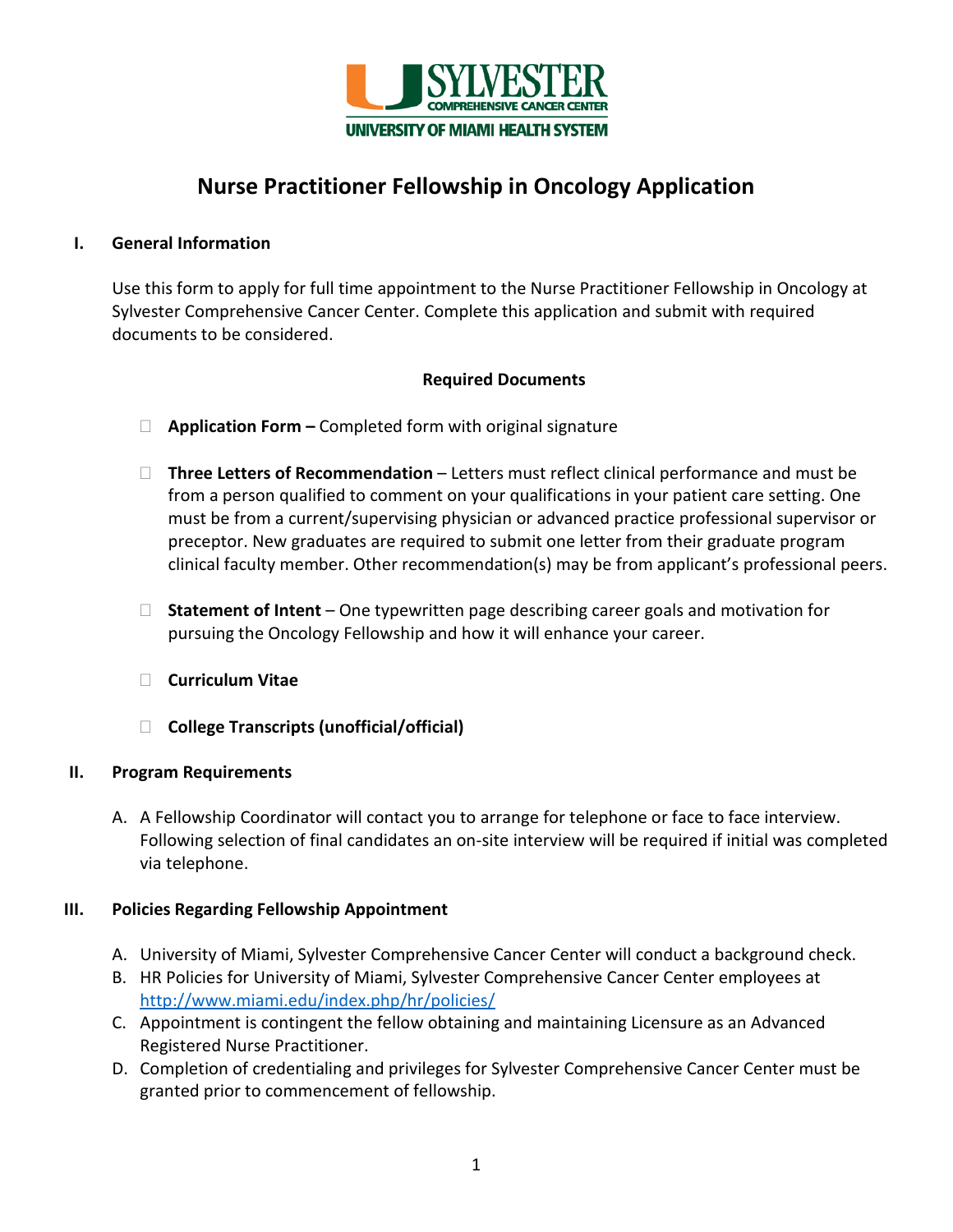

# **Nurse Practitioner Fellowship in Oncology Application**

# **I. General Information**

Use this form to apply for full time appointment to the Nurse Practitioner Fellowship in Oncology at Sylvester Comprehensive Cancer Center. Complete this application and submit with required documents to be considered.

# **Required Documents**

- **Application Form** Completed form with original signature
- □ Three Letters of Recommendation Letters must reflect clinical performance and must be from a person qualified to comment on your qualifications in your patient care setting. One must be from a current/supervising physician or advanced practice professional supervisor or preceptor. New graduates are required to submit one letter from their graduate program clinical faculty member. Other recommendation(s) may be from applicant's professional peers.
- □ Statement of Intent One typewritten page describing career goals and motivation for pursuing the Oncology Fellowship and how it will enhance your career.
- **Curriculum Vitae**
- **College Transcripts (unofficial/official)**

# **II. Program Requirements**

A. A Fellowship Coordinator will contact you to arrange for telephone or face to face interview. Following selection of final candidates an on-site interview will be required if initial was completed via telephone.

# **III. Policies Regarding Fellowship Appointment**

- A. University of Miami, Sylvester Comprehensive Cancer Center will conduct a background check.
- B. HR Policies for University of Miami, Sylvester Comprehensive Cancer Center employees at <http://www.miami.edu/index.php/hr/policies/>
- C. Appointment is contingent the fellow obtaining and maintaining Licensure as an Advanced Registered Nurse Practitioner.
- D. Completion of credentialing and privileges for Sylvester Comprehensive Cancer Center must be granted prior to commencement of fellowship.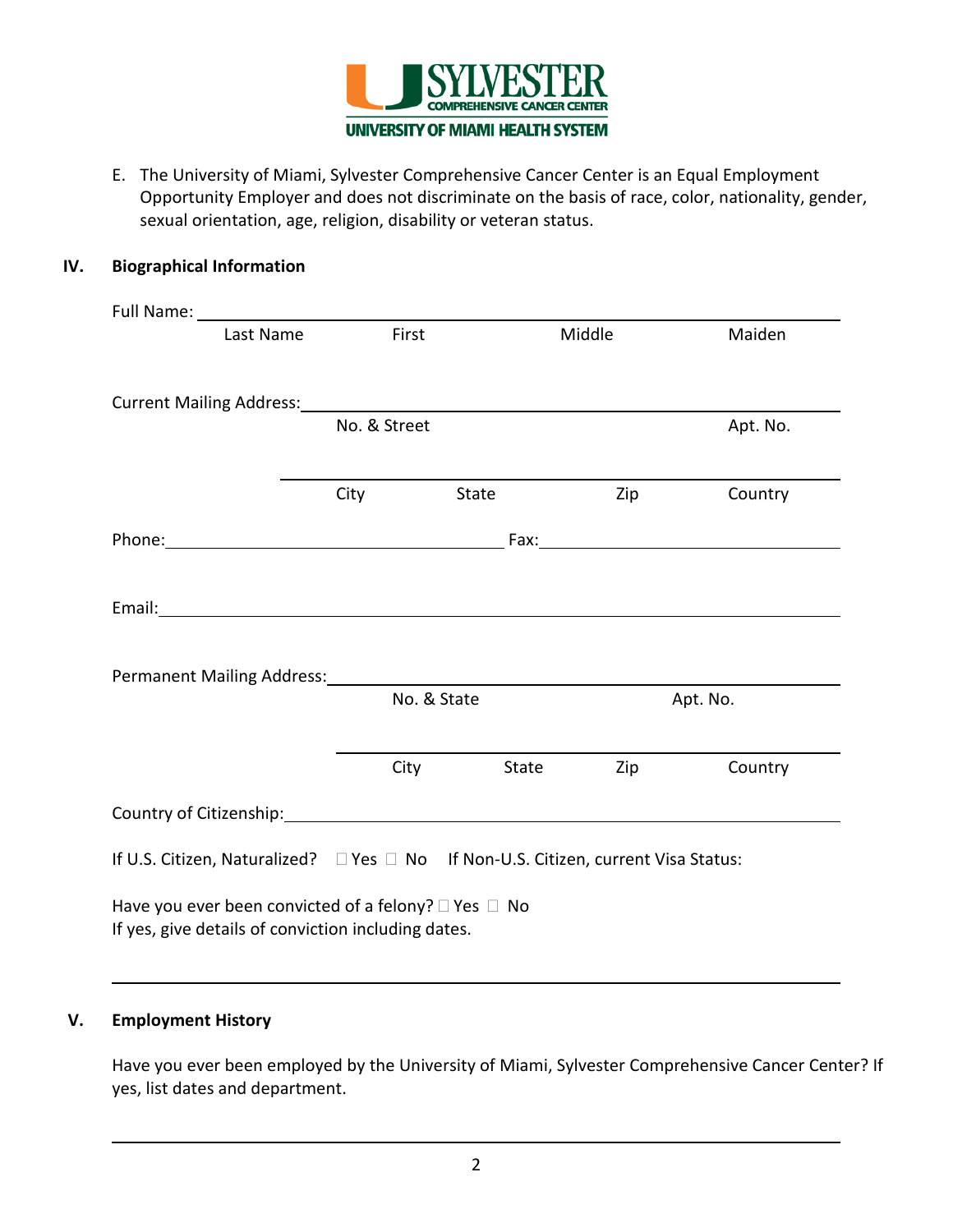

E. The University of Miami, Sylvester Comprehensive Cancer Center is an Equal Employment Opportunity Employer and does not discriminate on the basis of race, color, nationality, gender, sexual orientation, age, religion, disability or veteran status.

# **IV. Biographical Information**

| Last Name                                                                                                                                            | First        |             | Middle | Maiden   |  |
|------------------------------------------------------------------------------------------------------------------------------------------------------|--------------|-------------|--------|----------|--|
| Current Mailing Address: Management Current Mailing Address:                                                                                         |              |             |        |          |  |
|                                                                                                                                                      | No. & Street |             |        | Apt. No. |  |
|                                                                                                                                                      | City         | State       | Zip    | Country  |  |
|                                                                                                                                                      |              |             |        |          |  |
| Email: <u>Alexander Alexander Alexander Alexander Alexander Alexander Alexander Alexander Alexander Alexander Alex</u><br>Permanent Mailing Address: |              |             |        |          |  |
|                                                                                                                                                      |              | No. & State |        | Apt. No. |  |
|                                                                                                                                                      |              | City State  | Zip    | Country  |  |
| Country of Citizenship: Country of Citizenship:                                                                                                      |              |             |        |          |  |
| If U.S. Citizen, Naturalized? □ Yes □ No If Non-U.S. Citizen, current Visa Status:                                                                   |              |             |        |          |  |
| Have you ever been convicted of a felony? $\square$ Yes $\square$ No<br>If yes, give details of conviction including dates.                          |              |             |        |          |  |

# **V. Employment History**

Have you ever been employed by the University of Miami, Sylvester Comprehensive Cancer Center? If yes, list dates and department.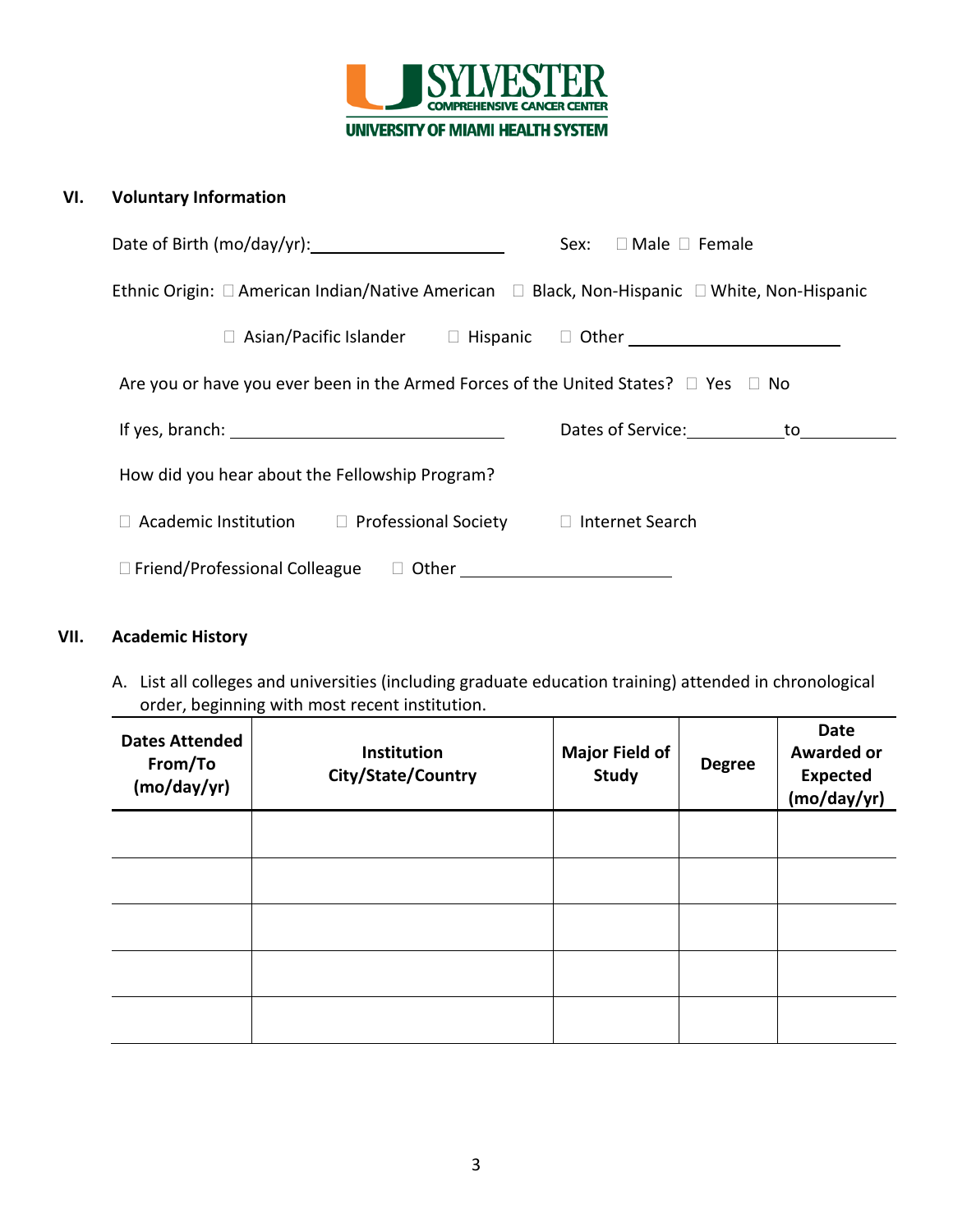

# **VI. Voluntary Information**

|                                                                                                                                                                                                                                                    | $\Box$ Male $\Box$ Female<br>Sex: |  |  |  |
|----------------------------------------------------------------------------------------------------------------------------------------------------------------------------------------------------------------------------------------------------|-----------------------------------|--|--|--|
| Ethnic Origin: $\Box$ American Indian/Native American $\Box$ Black, Non-Hispanic $\Box$ White, Non-Hispanic                                                                                                                                        |                                   |  |  |  |
| Asian/Pacific Islander □ Hispanic □ Other <u>Disconnect</u> Discover Discover Discover Discover Discover Discover Discover Discover Discover Discover Discover Discover Discover Discover Discover Discover Discover Discover Disc<br>$\mathbf{L}$ |                                   |  |  |  |
| Are you or have you ever been in the Armed Forces of the United States? $\Box$ Yes $\Box$ No                                                                                                                                                       |                                   |  |  |  |
|                                                                                                                                                                                                                                                    | Dates of Service: to              |  |  |  |
| How did you hear about the Fellowship Program?                                                                                                                                                                                                     |                                   |  |  |  |
| Academic Institution $\square$ Professional Society $\square$ Internet Search                                                                                                                                                                      |                                   |  |  |  |
|                                                                                                                                                                                                                                                    |                                   |  |  |  |

# **VII. Academic History**

A. List all colleges and universities (including graduate education training) attended in chronological order, beginning with most recent institution.

| <b>Dates Attended</b><br>From/To<br>(mo/day/yr) | <b>Institution</b><br>City/State/Country | <b>Major Field of</b><br><b>Study</b> | <b>Degree</b> | <b>Date</b><br><b>Awarded or</b><br><b>Expected</b><br>(mo/day/yr) |
|-------------------------------------------------|------------------------------------------|---------------------------------------|---------------|--------------------------------------------------------------------|
|                                                 |                                          |                                       |               |                                                                    |
|                                                 |                                          |                                       |               |                                                                    |
|                                                 |                                          |                                       |               |                                                                    |
|                                                 |                                          |                                       |               |                                                                    |
|                                                 |                                          |                                       |               |                                                                    |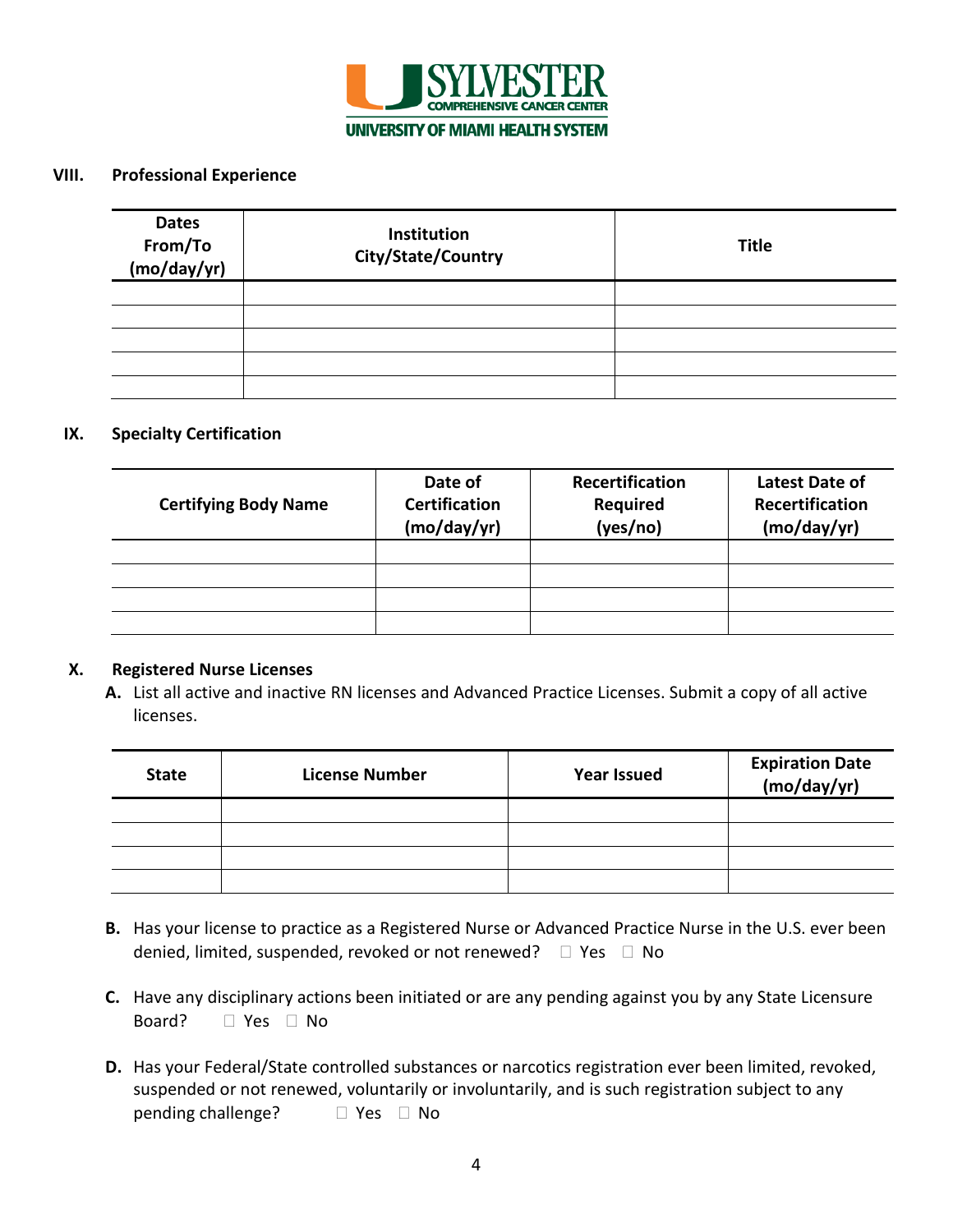

### **VIII. Professional Experience**

| <b>Dates</b><br>From/To<br>(mo/day/yr) | Institution<br>City/State/Country | <b>Title</b> |
|----------------------------------------|-----------------------------------|--------------|
|                                        |                                   |              |
|                                        |                                   |              |
|                                        |                                   |              |
|                                        |                                   |              |
|                                        |                                   |              |

#### **IX. Specialty Certification**

| <b>Certifying Body Name</b> | Date of<br><b>Certification</b><br>(mo/day/yr) | Recertification<br><b>Required</b><br>(yes/no) | <b>Latest Date of</b><br>Recertification<br>(mo/day/yr) |
|-----------------------------|------------------------------------------------|------------------------------------------------|---------------------------------------------------------|
|                             |                                                |                                                |                                                         |
|                             |                                                |                                                |                                                         |
|                             |                                                |                                                |                                                         |
|                             |                                                |                                                |                                                         |

#### **X. Registered Nurse Licenses**

**A.** List all active and inactive RN licenses and Advanced Practice Licenses. Submit a copy of all active licenses.

| <b>State</b> | <b>License Number</b> | <b>Year Issued</b> | Expiration Date<br>(mo/day/yr) |
|--------------|-----------------------|--------------------|--------------------------------|
|              |                       |                    |                                |
|              |                       |                    |                                |
|              |                       |                    |                                |
|              |                       |                    |                                |

- denied, limited, suspended, revoked or not renewed?  $\Box$  Yes  $\Box$  No **B.** Has your license to practice as a Registered Nurse or Advanced Practice Nurse in the U.S. ever been
- Board? D Yes D No **C.** Have any disciplinary actions been initiated or are any pending against you by any State Licensure
- $\Box$  Yes  $\Box$  No **D.** Has your Federal/State controlled substances or narcotics registration ever been limited, revoked, suspended or not renewed, voluntarily or involuntarily, and is such registration subject to any pending challenge?